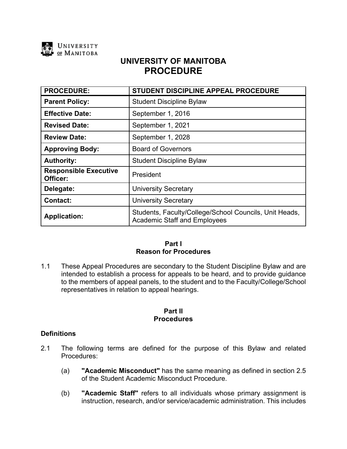

# **UNIVERSITY OF MANITOBA PROCEDURE**

| <b>PROCEDURE:</b>                        | STUDENT DISCIPLINE APPEAL PROCEDURE                                                           |
|------------------------------------------|-----------------------------------------------------------------------------------------------|
| <b>Parent Policy:</b>                    | <b>Student Discipline Bylaw</b>                                                               |
| <b>Effective Date:</b>                   | September 1, 2016                                                                             |
| <b>Revised Date:</b>                     | September 1, 2021                                                                             |
| <b>Review Date:</b>                      | September 1, 2028                                                                             |
| <b>Approving Body:</b>                   | <b>Board of Governors</b>                                                                     |
| <b>Authority:</b>                        | <b>Student Discipline Bylaw</b>                                                               |
| <b>Responsible Executive</b><br>Officer: | President                                                                                     |
| Delegate:                                | <b>University Secretary</b>                                                                   |
| <b>Contact:</b>                          | <b>University Secretary</b>                                                                   |
| <b>Application:</b>                      | Students, Faculty/College/School Councils, Unit Heads,<br><b>Academic Staff and Employees</b> |

### **Part I Reason for Procedures**

1.1 These Appeal Procedures are secondary to the Student Discipline Bylaw and are intended to establish a process for appeals to be heard, and to provide guidance to the members of appeal panels, to the student and to the Faculty/College/School representatives in relation to appeal hearings.

### **Part II Procedures**

### **Definitions**

- 2.1 The following terms are defined for the purpose of this Bylaw and related Procedures:
	- (a) **"Academic Misconduct"** has the same meaning as defined in section 2.5 of the Student Academic Misconduct Procedure.
	- (b) **"Academic Staff"** refers to all individuals whose primary assignment is instruction, research, and/or service/academic administration. This includes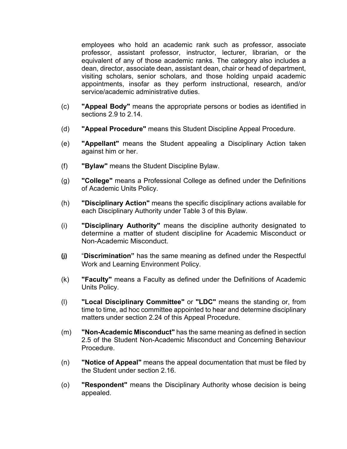employees who hold an academic rank such as professor, associate professor, assistant professor, instructor, lecturer, librarian, or the equivalent of any of those academic ranks. The category also includes a dean, director, associate dean, assistant dean, chair or head of department, visiting scholars, senior scholars, and those holding unpaid academic appointments, insofar as they perform instructional, research, and/or service/academic administrative duties

- (c) **"Appeal Body"** means the appropriate persons or bodies as identified in sections 2.9 to 2.14.
- (d) **"Appeal Procedure"** means this Student Discipline Appeal Procedure.
- (e) **"Appellant"** means the Student appealing a Disciplinary Action taken against him or her.
- (f) **"Bylaw"** means the Student Discipline Bylaw.
- (g) **"College"** means a Professional College as defined under the Definitions of Academic Units Policy.
- (h) **"Disciplinary Action"** means the specific disciplinary actions available for each Disciplinary Authority under Table 3 of this Bylaw.
- (i) **"Disciplinary Authority"** means the discipline authority designated to determine a matter of student discipline for Academic Misconduct or Non-Academic Misconduct.
- **(j)** "**Discrimination"** has the same meaning as defined under the Respectful Work and Learning Environment Policy.
- (k) **"Faculty"** means a Faculty as defined under the Definitions of Academic Units Policy.
- (l) **"Local Disciplinary Committee"** or **"LDC"** means the standing or, from time to time, ad hoc committee appointed to hear and determine disciplinary matters under section 2.24 of this Appeal Procedure.
- (m) **"Non-Academic Misconduct"** has the same meaning as defined in section 2.5 of the Student Non-Academic Misconduct and Concerning Behaviour Procedure.
- (n) **"Notice of Appeal"** means the appeal documentation that must be filed by the Student under section 2.16.
- (o) **"Respondent"** means the Disciplinary Authority whose decision is being appealed.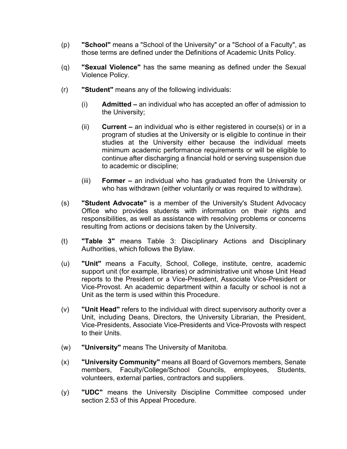- (p) **"School"** means a "School of the University" or a "School of a Faculty", as those terms are defined under the Definitions of Academic Units Policy.
- (q) **"Sexual Violence"** has the same meaning as defined under the Sexual Violence Policy.
- (r) **"Student"** means any of the following individuals:
	- (i) **Admitted –** an individual who has accepted an offer of admission to the University;
	- (ii) **Current –** an individual who is either registered in course(s) or in a program of studies at the University or is eligible to continue in their studies at the University either because the individual meets minimum academic performance requirements or will be eligible to continue after discharging a financial hold or serving suspension due to academic or discipline;
	- (iii) **Former –** an individual who has graduated from the University or who has withdrawn (either voluntarily or was required to withdraw).
- (s) **"Student Advocate"** is a member of the University's Student Advocacy Office who provides students with information on their rights and responsibilities, as well as assistance with resolving problems or concerns resulting from actions or decisions taken by the University.
- (t) **"Table 3"** means Table 3: Disciplinary Actions and Disciplinary Authorities, which follows the Bylaw.
- (u) **"Unit"** means a Faculty, School, College, institute, centre, academic support unit (for example, libraries) or administrative unit whose Unit Head reports to the President or a Vice-President, Associate Vice-President or Vice-Provost. An academic department within a faculty or school is not a Unit as the term is used within this Procedure.
- (v) **"Unit Head"** refers to the individual with direct supervisory authority over a Unit, including Deans, Directors, the University Librarian, the President, Vice-Presidents, Associate Vice-Presidents and Vice-Provosts with respect to their Units.
- (w) **"University"** means The University of Manitoba.
- (x) **"University Community"** means all Board of Governors members, Senate members, Faculty/College/School Councils, employees, Students, volunteers, external parties, contractors and suppliers.
- (y) **"UDC"** means the University Discipline Committee composed under section 2.53 of this Appeal Procedure.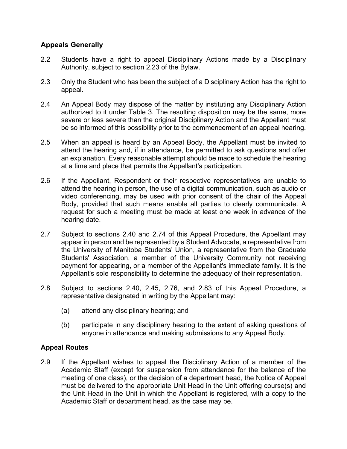# **Appeals Generally**

- 2.2 Students have a right to appeal Disciplinary Actions made by a Disciplinary Authority, subject to section 2.23 of the Bylaw.
- 2.3 Only the Student who has been the subject of a Disciplinary Action has the right to appeal.
- 2.4 An Appeal Body may dispose of the matter by instituting any Disciplinary Action authorized to it under Table 3. The resulting disposition may be the same, more severe or less severe than the original Disciplinary Action and the Appellant must be so informed of this possibility prior to the commencement of an appeal hearing.
- 2.5 When an appeal is heard by an Appeal Body, the Appellant must be invited to attend the hearing and, if in attendance, be permitted to ask questions and offer an explanation. Every reasonable attempt should be made to schedule the hearing at a time and place that permits the Appellant's participation.
- 2.6 If the Appellant, Respondent or their respective representatives are unable to attend the hearing in person, the use of a digital communication, such as audio or video conferencing, may be used with prior consent of the chair of the Appeal Body, provided that such means enable all parties to clearly communicate. A request for such a meeting must be made at least one week in advance of the hearing date.
- 2.7 Subject to sections 2.40 and 2.74 of this Appeal Procedure, the Appellant may appear in person and be represented by a Student Advocate, a representative from the University of Manitoba Students' Union, a representative from the Graduate Students' Association, a member of the University Community not receiving payment for appearing, or a member of the Appellant's immediate family. It is the Appellant's sole responsibility to determine the adequacy of their representation.
- 2.8 Subject to sections 2.40, 2.45, 2.76, and 2.83 of this Appeal Procedure, a representative designated in writing by the Appellant may:
	- (a) attend any disciplinary hearing; and
	- (b) participate in any disciplinary hearing to the extent of asking questions of anyone in attendance and making submissions to any Appeal Body.

### **Appeal Routes**

2.9 If the Appellant wishes to appeal the Disciplinary Action of a member of the Academic Staff (except for suspension from attendance for the balance of the meeting of one class), or the decision of a department head, the Notice of Appeal must be delivered to the appropriate Unit Head in the Unit offering course(s) and the Unit Head in the Unit in which the Appellant is registered, with a copy to the Academic Staff or department head, as the case may be.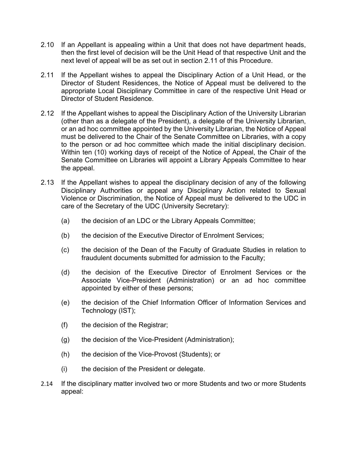- 2.10 If an Appellant is appealing within a Unit that does not have department heads, then the first level of decision will be the Unit Head of that respective Unit and the next level of appeal will be as set out in section 2.11 of this Procedure.
- 2.11 If the Appellant wishes to appeal the Disciplinary Action of a Unit Head, or the Director of Student Residences, the Notice of Appeal must be delivered to the appropriate Local Disciplinary Committee in care of the respective Unit Head or Director of Student Residence.
- 2.12 If the Appellant wishes to appeal the Disciplinary Action of the University Librarian (other than as a delegate of the President), a delegate of the University Librarian, or an ad hoc committee appointed by the University Librarian, the Notice of Appeal must be delivered to the Chair of the Senate Committee on Libraries, with a copy to the person or ad hoc committee which made the initial disciplinary decision. Within ten (10) working days of receipt of the Notice of Appeal, the Chair of the Senate Committee on Libraries will appoint a Library Appeals Committee to hear the appeal.
- 2.13 If the Appellant wishes to appeal the disciplinary decision of any of the following Disciplinary Authorities or appeal any Disciplinary Action related to Sexual Violence or Discrimination, the Notice of Appeal must be delivered to the UDC in care of the Secretary of the UDC (University Secretary):
	- (a) the decision of an LDC or the Library Appeals Committee;
	- (b) the decision of the Executive Director of Enrolment Services;
	- (c) the decision of the Dean of the Faculty of Graduate Studies in relation to fraudulent documents submitted for admission to the Faculty;
	- (d) the decision of the Executive Director of Enrolment Services or the Associate Vice-President (Administration) or an ad hoc committee appointed by either of these persons;
	- (e) the decision of the Chief Information Officer of Information Services and Technology (IST);
	- $(f)$  the decision of the Registrar;
	- (g) the decision of the Vice-President (Administration);
	- (h) the decision of the Vice-Provost (Students); or
	- (i) the decision of the President or delegate.
- 2.14 If the disciplinary matter involved two or more Students and two or more Students appeal: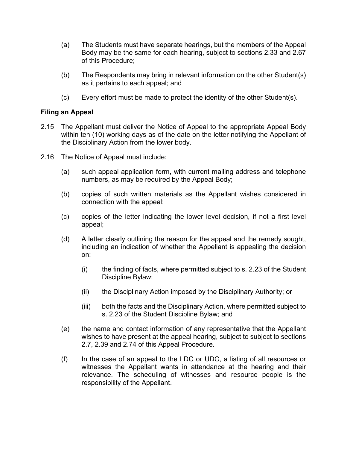- (a) The Students must have separate hearings, but the members of the Appeal Body may be the same for each hearing, subject to sections 2.33 and 2.67 of this Procedure;
- (b) The Respondents may bring in relevant information on the other Student(s) as it pertains to each appeal; and
- (c) Every effort must be made to protect the identity of the other Student(s).

### **Filing an Appeal**

- 2.15 The Appellant must deliver the Notice of Appeal to the appropriate Appeal Body within ten (10) working days as of the date on the letter notifying the Appellant of the Disciplinary Action from the lower body.
- 2.16 The Notice of Appeal must include:
	- (a) such appeal application form, with current mailing address and telephone numbers, as may be required by the Appeal Body;
	- (b) copies of such written materials as the Appellant wishes considered in connection with the appeal;
	- (c) copies of the letter indicating the lower level decision, if not a first level appeal;
	- (d) A letter clearly outlining the reason for the appeal and the remedy sought, including an indication of whether the Appellant is appealing the decision on:
		- (i) the finding of facts, where permitted subject to s. 2.23 of the Student Discipline Bylaw;
		- (ii) the Disciplinary Action imposed by the Disciplinary Authority; or
		- (iii) both the facts and the Disciplinary Action, where permitted subject to s. 2.23 of the Student Discipline Bylaw; and
	- (e) the name and contact information of any representative that the Appellant wishes to have present at the appeal hearing, subject to subject to sections 2.7, 2.39 and 2.74 of this Appeal Procedure.
	- (f) In the case of an appeal to the LDC or UDC, a listing of all resources or witnesses the Appellant wants in attendance at the hearing and their relevance. The scheduling of witnesses and resource people is the responsibility of the Appellant.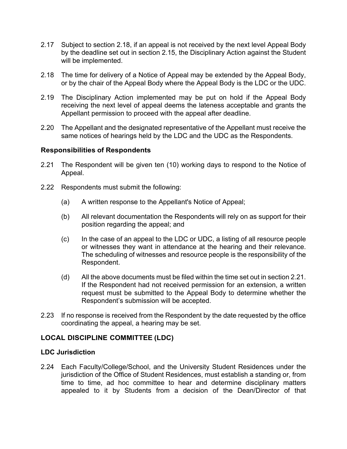- 2.17 Subject to section 2.18, if an appeal is not received by the next level Appeal Body by the deadline set out in section 2.15, the Disciplinary Action against the Student will be implemented.
- 2.18 The time for delivery of a Notice of Appeal may be extended by the Appeal Body, or by the chair of the Appeal Body where the Appeal Body is the LDC or the UDC.
- 2.19 The Disciplinary Action implemented may be put on hold if the Appeal Body receiving the next level of appeal deems the lateness acceptable and grants the Appellant permission to proceed with the appeal after deadline.
- 2.20 The Appellant and the designated representative of the Appellant must receive the same notices of hearings held by the LDC and the UDC as the Respondents.

### **Responsibilities of Respondents**

- 2.21 The Respondent will be given ten (10) working days to respond to the Notice of Appeal.
- 2.22 Respondents must submit the following:
	- (a) A written response to the Appellant's Notice of Appeal;
	- (b) All relevant documentation the Respondents will rely on as support for their position regarding the appeal; and
	- (c) In the case of an appeal to the LDC or UDC, a listing of all resource people or witnesses they want in attendance at the hearing and their relevance. The scheduling of witnesses and resource people is the responsibility of the Respondent.
	- (d) All the above documents must be filed within the time set out in section 2.21. If the Respondent had not received permission for an extension, a written request must be submitted to the Appeal Body to determine whether the Respondent's submission will be accepted.
- 2.23 If no response is received from the Respondent by the date requested by the office coordinating the appeal, a hearing may be set.

### **LOCAL DISCIPLINE COMMITTEE (LDC)**

### **LDC Jurisdiction**

2.24 Each Faculty/College/School, and the University Student Residences under the jurisdiction of the Office of Student Residences, must establish a standing or, from time to time, ad hoc committee to hear and determine disciplinary matters appealed to it by Students from a decision of the Dean/Director of that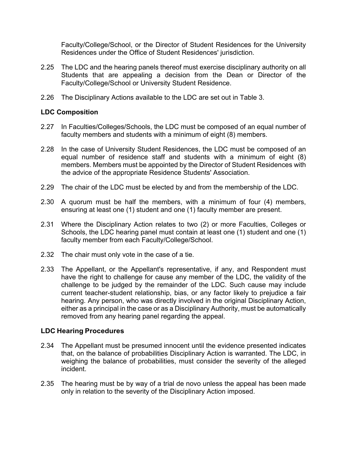Faculty/College/School, or the Director of Student Residences for the University Residences under the Office of Student Residences' jurisdiction.

- 2.25 The LDC and the hearing panels thereof must exercise disciplinary authority on all Students that are appealing a decision from the Dean or Director of the Faculty/College/School or University Student Residence.
- 2.26 The Disciplinary Actions available to the LDC are set out in Table 3.

### **LDC Composition**

- 2.27 In Faculties/Colleges/Schools, the LDC must be composed of an equal number of faculty members and students with a minimum of eight (8) members.
- 2.28 In the case of University Student Residences, the LDC must be composed of an equal number of residence staff and students with a minimum of eight (8) members. Members must be appointed by the Director of Student Residences with the advice of the appropriate Residence Students' Association.
- 2.29 The chair of the LDC must be elected by and from the membership of the LDC.
- 2.30 A quorum must be half the members, with a minimum of four (4) members, ensuring at least one (1) student and one (1) faculty member are present.
- 2.31 Where the Disciplinary Action relates to two (2) or more Faculties, Colleges or Schools, the LDC hearing panel must contain at least one (1) student and one (1) faculty member from each Faculty/College/School.
- 2.32 The chair must only vote in the case of a tie.
- 2.33 The Appellant, or the Appellant's representative, if any, and Respondent must have the right to challenge for cause any member of the LDC, the validity of the challenge to be judged by the remainder of the LDC. Such cause may include current teacher-student relationship, bias, or any factor likely to prejudice a fair hearing. Any person, who was directly involved in the original Disciplinary Action, either as a principal in the case or as a Disciplinary Authority, must be automatically removed from any hearing panel regarding the appeal.

### **LDC Hearing Procedures**

- 2.34 The Appellant must be presumed innocent until the evidence presented indicates that, on the balance of probabilities Disciplinary Action is warranted. The LDC, in weighing the balance of probabilities, must consider the severity of the alleged incident.
- 2.35 The hearing must be by way of a trial de novo unless the appeal has been made only in relation to the severity of the Disciplinary Action imposed.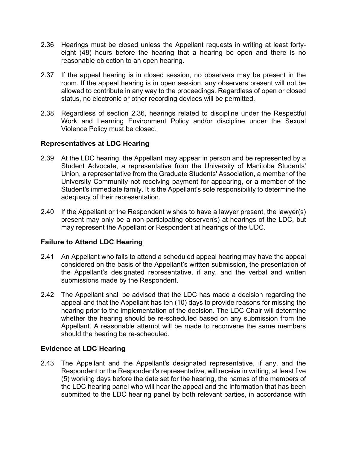- 2.36 Hearings must be closed unless the Appellant requests in writing at least fortyeight (48) hours before the hearing that a hearing be open and there is no reasonable objection to an open hearing.
- 2.37 If the appeal hearing is in closed session, no observers may be present in the room. If the appeal hearing is in open session, any observers present will not be allowed to contribute in any way to the proceedings. Regardless of open or closed status, no electronic or other recording devices will be permitted.
- 2.38 Regardless of section 2.36, hearings related to discipline under the Respectful Work and Learning Environment Policy and/or discipline under the Sexual Violence Policy must be closed.

# **Representatives at LDC Hearing**

- 2.39 At the LDC hearing, the Appellant may appear in person and be represented by a Student Advocate, a representative from the University of Manitoba Students' Union, a representative from the Graduate Students' Association, a member of the University Community not receiving payment for appearing, or a member of the Student's immediate family. It is the Appellant's sole responsibility to determine the adequacy of their representation.
- 2.40 If the Appellant or the Respondent wishes to have a lawyer present, the lawyer(s) present may only be a non-participating observer(s) at hearings of the LDC, but may represent the Appellant or Respondent at hearings of the UDC.

# **Failure to Attend LDC Hearing**

- 2.41 An Appellant who fails to attend a scheduled appeal hearing may have the appeal considered on the basis of the Appellant's written submission, the presentation of the Appellant's designated representative, if any, and the verbal and written submissions made by the Respondent.
- 2.42 The Appellant shall be advised that the LDC has made a decision regarding the appeal and that the Appellant has ten (10) days to provide reasons for missing the hearing prior to the implementation of the decision. The LDC Chair will determine whether the hearing should be re-scheduled based on any submission from the Appellant. A reasonable attempt will be made to reconvene the same members should the hearing be re-scheduled.

# **Evidence at LDC Hearing**

2.43 The Appellant and the Appellant's designated representative, if any, and the Respondent or the Respondent's representative, will receive in writing, at least five (5) working days before the date set for the hearing, the names of the members of the LDC hearing panel who will hear the appeal and the information that has been submitted to the LDC hearing panel by both relevant parties, in accordance with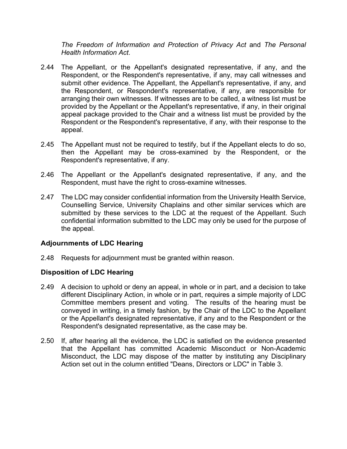*The Freedom of Information and Protection of Privacy Act* and *The Personal Health Information Act*.

- 2.44 The Appellant, or the Appellant's designated representative, if any, and the Respondent, or the Respondent's representative, if any, may call witnesses and submit other evidence. The Appellant, the Appellant's representative, if any, and the Respondent, or Respondent's representative, if any, are responsible for arranging their own witnesses. If witnesses are to be called, a witness list must be provided by the Appellant or the Appellant's representative, if any, in their original appeal package provided to the Chair and a witness list must be provided by the Respondent or the Respondent's representative, if any, with their response to the appeal.
- 2.45 The Appellant must not be required to testify, but if the Appellant elects to do so, then the Appellant may be cross-examined by the Respondent, or the Respondent's representative, if any.
- 2.46 The Appellant or the Appellant's designated representative, if any, and the Respondent, must have the right to cross-examine witnesses.
- 2.47 The LDC may consider confidential information from the University Health Service, Counselling Service, University Chaplains and other similar services which are submitted by these services to the LDC at the request of the Appellant. Such confidential information submitted to the LDC may only be used for the purpose of the appeal.

# **Adjournments of LDC Hearing**

2.48 Requests for adjournment must be granted within reason.

### **Disposition of LDC Hearing**

- 2.49 A decision to uphold or deny an appeal, in whole or in part, and a decision to take different Disciplinary Action, in whole or in part, requires a simple majority of LDC Committee members present and voting. The results of the hearing must be conveyed in writing, in a timely fashion, by the Chair of the LDC to the Appellant or the Appellant's designated representative, if any and to the Respondent or the Respondent's designated representative, as the case may be.
- 2.50 If, after hearing all the evidence, the LDC is satisfied on the evidence presented that the Appellant has committed Academic Misconduct or Non-Academic Misconduct, the LDC may dispose of the matter by instituting any Disciplinary Action set out in the column entitled "Deans, Directors or LDC" in Table 3.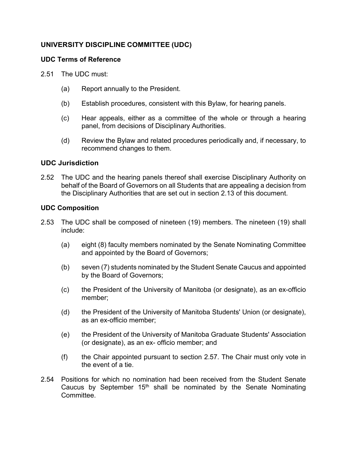# **UNIVERSITY DISCIPLINE COMMITTEE (UDC)**

### **UDC Terms of Reference**

- 2.51 The UDC must:
	- (a) Report annually to the President.
	- (b) Establish procedures, consistent with this Bylaw, for hearing panels.
	- (c) Hear appeals, either as a committee of the whole or through a hearing panel, from decisions of Disciplinary Authorities.
	- (d) Review the Bylaw and related procedures periodically and, if necessary, to recommend changes to them.

# **UDC Jurisdiction**

2.52 The UDC and the hearing panels thereof shall exercise Disciplinary Authority on behalf of the Board of Governors on all Students that are appealing a decision from the Disciplinary Authorities that are set out in section 2.13 of this document.

# **UDC Composition**

- 2.53 The UDC shall be composed of nineteen (19) members. The nineteen (19) shall include:
	- (a) eight (8) faculty members nominated by the Senate Nominating Committee and appointed by the Board of Governors;
	- (b) seven (7) students nominated by the Student Senate Caucus and appointed by the Board of Governors;
	- (c) the President of the University of Manitoba (or designate), as an ex-officio member;
	- (d) the President of the University of Manitoba Students' Union (or designate), as an ex-officio member;
	- (e) the President of the University of Manitoba Graduate Students' Association (or designate), as an ex- officio member; and
	- (f) the Chair appointed pursuant to section 2.57. The Chair must only vote in the event of a tie.
- 2.54 Positions for which no nomination had been received from the Student Senate Caucus by September 15<sup>th</sup> shall be nominated by the Senate Nominating Committee.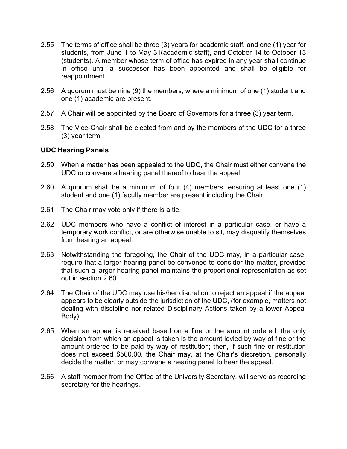- 2.55 The terms of office shall be three (3) years for academic staff, and one (1) year for students, from June 1 to May 31(academic staff), and October 14 to October 13 (students). A member whose term of office has expired in any year shall continue in office until a successor has been appointed and shall be eligible for reappointment.
- 2.56 A quorum must be nine (9) the members, where a minimum of one (1) student and one (1) academic are present.
- 2.57 A Chair will be appointed by the Board of Governors for a three (3) year term.
- 2.58 The Vice-Chair shall be elected from and by the members of the UDC for a three (3) year term.

### **UDC Hearing Panels**

- 2.59 When a matter has been appealed to the UDC, the Chair must either convene the UDC or convene a hearing panel thereof to hear the appeal.
- 2.60 A quorum shall be a minimum of four (4) members, ensuring at least one (1) student and one (1) faculty member are present including the Chair.
- 2.61 The Chair may vote only if there is a tie.
- 2.62 UDC members who have a conflict of interest in a particular case, or have a temporary work conflict, or are otherwise unable to sit, may disqualify themselves from hearing an appeal.
- 2.63 Notwithstanding the foregoing, the Chair of the UDC may, in a particular case, require that a larger hearing panel be convened to consider the matter, provided that such a larger hearing panel maintains the proportional representation as set out in section 2.60.
- 2.64 The Chair of the UDC may use his/her discretion to reject an appeal if the appeal appears to be clearly outside the jurisdiction of the UDC, (for example, matters not dealing with discipline nor related Disciplinary Actions taken by a lower Appeal Body).
- 2.65 When an appeal is received based on a fine or the amount ordered, the only decision from which an appeal is taken is the amount levied by way of fine or the amount ordered to be paid by way of restitution; then, if such fine or restitution does not exceed \$500.00, the Chair may, at the Chair's discretion, personally decide the matter, or may convene a hearing panel to hear the appeal.
- 2.66 A staff member from the Office of the University Secretary, will serve as recording secretary for the hearings.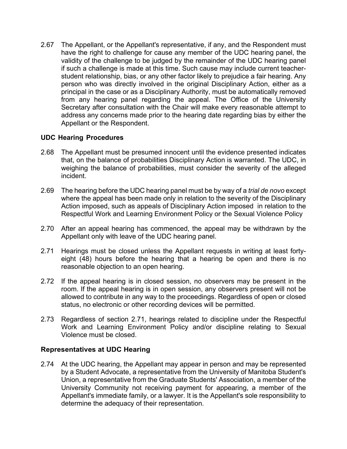2.67 The Appellant, or the Appellant's representative, if any, and the Respondent must have the right to challenge for cause any member of the UDC hearing panel, the validity of the challenge to be judged by the remainder of the UDC hearing panel if such a challenge is made at this time. Such cause may include current teacherstudent relationship, bias, or any other factor likely to prejudice a fair hearing. Any person who was directly involved in the original Disciplinary Action, either as a principal in the case or as a Disciplinary Authority, must be automatically removed from any hearing panel regarding the appeal. The Office of the University Secretary after consultation with the Chair will make every reasonable attempt to address any concerns made prior to the hearing date regarding bias by either the Appellant or the Respondent.

# **UDC Hearing Procedures**

- 2.68 The Appellant must be presumed innocent until the evidence presented indicates that, on the balance of probabilities Disciplinary Action is warranted. The UDC, in weighing the balance of probabilities, must consider the severity of the alleged incident.
- 2.69 The hearing before the UDC hearing panel must be by way of a *trial de novo* except where the appeal has been made only in relation to the severity of the Disciplinary Action imposed, such as appeals of Disciplinary Action imposed in relation to the Respectful Work and Learning Environment Policy or the Sexual Violence Policy
- 2.70 After an appeal hearing has commenced, the appeal may be withdrawn by the Appellant only with leave of the UDC hearing panel.
- 2.71 Hearings must be closed unless the Appellant requests in writing at least fortyeight (48) hours before the hearing that a hearing be open and there is no reasonable objection to an open hearing.
- 2.72 If the appeal hearing is in closed session, no observers may be present in the room. If the appeal hearing is in open session, any observers present will not be allowed to contribute in any way to the proceedings. Regardless of open or closed status, no electronic or other recording devices will be permitted.
- 2.73 Regardless of section 2.71, hearings related to discipline under the Respectful Work and Learning Environment Policy and/or discipline relating to Sexual Violence must be closed.

### **Representatives at UDC Hearing**

2.74 At the UDC hearing, the Appellant may appear in person and may be represented by a Student Advocate, a representative from the University of Manitoba Student's Union, a representative from the Graduate Students' Association, a member of the University Community not receiving payment for appearing, a member of the Appellant's immediate family, or a lawyer. It is the Appellant's sole responsibility to determine the adequacy of their representation.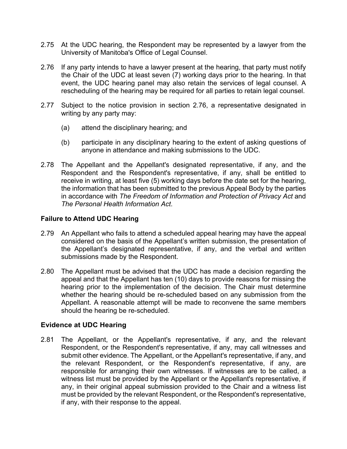- 2.75 At the UDC hearing, the Respondent may be represented by a lawyer from the University of Manitoba's Office of Legal Counsel.
- 2.76 If any party intends to have a lawyer present at the hearing, that party must notify the Chair of the UDC at least seven (7) working days prior to the hearing. In that event, the UDC hearing panel may also retain the services of legal counsel. A rescheduling of the hearing may be required for all parties to retain legal counsel.
- 2.77 Subject to the notice provision in section 2.76, a representative designated in writing by any party may:
	- (a) attend the disciplinary hearing; and
	- (b) participate in any disciplinary hearing to the extent of asking questions of anyone in attendance and making submissions to the UDC.
- 2.78 The Appellant and the Appellant's designated representative, if any, and the Respondent and the Respondent's representative, if any, shall be entitled to receive in writing, at least five (5) working days before the date set for the hearing, the information that has been submitted to the previous Appeal Body by the parties in accordance with *The Freedom of Information and Protection of Privacy Act* and *The Personal Health Information Act*.

### **Failure to Attend UDC Hearing**

- 2.79 An Appellant who fails to attend a scheduled appeal hearing may have the appeal considered on the basis of the Appellant's written submission, the presentation of the Appellant's designated representative, if any, and the verbal and written submissions made by the Respondent.
- 2.80 The Appellant must be advised that the UDC has made a decision regarding the appeal and that the Appellant has ten (10) days to provide reasons for missing the hearing prior to the implementation of the decision. The Chair must determine whether the hearing should be re-scheduled based on any submission from the Appellant. A reasonable attempt will be made to reconvene the same members should the hearing be re-scheduled.

### **Evidence at UDC Hearing**

2.81 The Appellant, or the Appellant's representative, if any, and the relevant Respondent, or the Respondent's representative, if any, may call witnesses and submit other evidence. The Appellant, or the Appellant's representative, if any, and the relevant Respondent, or the Respondent's representative, if any, are responsible for arranging their own witnesses. If witnesses are to be called, a witness list must be provided by the Appellant or the Appellant's representative, if any, in their original appeal submission provided to the Chair and a witness list must be provided by the relevant Respondent, or the Respondent's representative, if any, with their response to the appeal.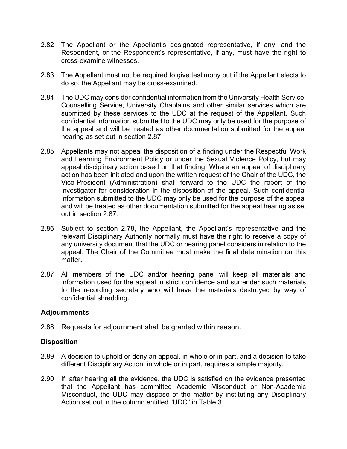- 2.82 The Appellant or the Appellant's designated representative, if any, and the Respondent, or the Respondent's representative, if any, must have the right to cross-examine witnesses.
- 2.83 The Appellant must not be required to give testimony but if the Appellant elects to do so, the Appellant may be cross-examined.
- 2.84 The UDC may consider confidential information from the University Health Service, Counselling Service, University Chaplains and other similar services which are submitted by these services to the UDC at the request of the Appellant. Such confidential information submitted to the UDC may only be used for the purpose of the appeal and will be treated as other documentation submitted for the appeal hearing as set out in section 2.87.
- 2.85 Appellants may not appeal the disposition of a finding under the Respectful Work and Learning Environment Policy or under the Sexual Violence Policy, but may appeal disciplinary action based on that finding. Where an appeal of disciplinary action has been initiated and upon the written request of the Chair of the UDC, the Vice-President (Administration) shall forward to the UDC the report of the investigator for consideration in the disposition of the appeal. Such confidential information submitted to the UDC may only be used for the purpose of the appeal and will be treated as other documentation submitted for the appeal hearing as set out in section 2.87.
- 2.86 Subject to section 2.78, the Appellant, the Appellant's representative and the relevant Disciplinary Authority normally must have the right to receive a copy of any university document that the UDC or hearing panel considers in relation to the appeal. The Chair of the Committee must make the final determination on this matter.
- 2.87 All members of the UDC and/or hearing panel will keep all materials and information used for the appeal in strict confidence and surrender such materials to the recording secretary who will have the materials destroyed by way of confidential shredding.

### **Adjournments**

2.88 Requests for adjournment shall be granted within reason.

### **Disposition**

- 2.89 A decision to uphold or deny an appeal, in whole or in part, and a decision to take different Disciplinary Action, in whole or in part, requires a simple majority.
- 2.90 If, after hearing all the evidence, the UDC is satisfied on the evidence presented that the Appellant has committed Academic Misconduct or Non-Academic Misconduct, the UDC may dispose of the matter by instituting any Disciplinary Action set out in the column entitled "UDC" in Table 3.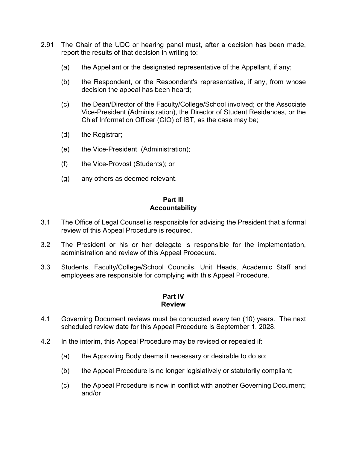- 2.91 The Chair of the UDC or hearing panel must, after a decision has been made, report the results of that decision in writing to:
	- (a) the Appellant or the designated representative of the Appellant, if any;
	- (b) the Respondent, or the Respondent's representative, if any, from whose decision the appeal has been heard;
	- (c) the Dean/Director of the Faculty/College/School involved; or the Associate Vice-President (Administration), the Director of Student Residences, or the Chief Information Officer (CIO) of IST, as the case may be;
	- (d) the Registrar;
	- (e) the Vice-President (Administration);
	- (f) the Vice-Provost (Students); or
	- (g) any others as deemed relevant.

#### **Part III Accountability**

- 3.1 The Office of Legal Counsel is responsible for advising the President that a formal review of this Appeal Procedure is required.
- 3.2 The President or his or her delegate is responsible for the implementation, administration and review of this Appeal Procedure.
- 3.3 Students, Faculty/College/School Councils, Unit Heads, Academic Staff and employees are responsible for complying with this Appeal Procedure.

### **Part IV Review**

- 4.1 Governing Document reviews must be conducted every ten (10) years. The next scheduled review date for this Appeal Procedure is September 1, 2028.
- 4.2 In the interim, this Appeal Procedure may be revised or repealed if:
	- (a) the Approving Body deems it necessary or desirable to do so;
	- (b) the Appeal Procedure is no longer legislatively or statutorily compliant;
	- (c) the Appeal Procedure is now in conflict with another Governing Document; and/or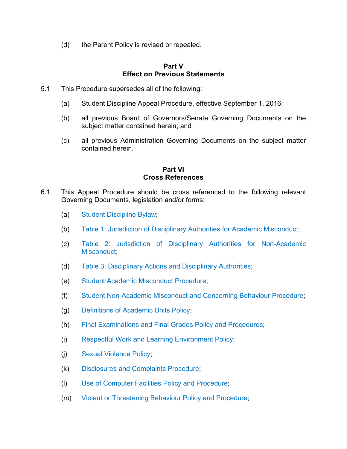(d) the Parent Policy is revised or repealed.

### **Part V Effect on Previous Statements**

- 5.1 This Procedure supersedes all of the following:
	- (a) Student Discipline Appeal Procedure, effective September 1, 2016;
	- (b) all previous Board of Governors/Senate Governing Documents on the subject matter contained herein; and
	- (c) all previous Administration Governing Documents on the subject matter contained herein.

### **Part VI Cross References**

- 6.1 This Appeal Procedure should be cross referenced to the following relevant Governing Documents, legislation and/or forms:
	- (a) Student Discipline Bylaw;
	- (b) Table 1: Jurisdiction of Disciplinary Authorities for Academic Misconduct;
	- (c) Table 2: Jurisdiction of Disciplinary Authorities for Non-Academic Misconduct:
	- (d) Table 3: Disciplinary Actions and Disciplinary Authorities;
	- (e) Student Academic Misconduct Procedure;
	- (f) Student Non-Academic Misconduct and Concerning Behaviour Procedure;
	- (g) Definitions of Academic Units Policy;
	- (h) Final Examinations and Final Grades Policy and Procedures;
	- (i) Respectful Work and Learning Environment Policy;
	- (j) Sexual Violence Policy;
	- (k) Disclosures and Complaints Procedure;
	- (l) Use of Computer Facilities Policy and Procedure;
	- (m) Violent or Threatening Behaviour Policy and Procedure;